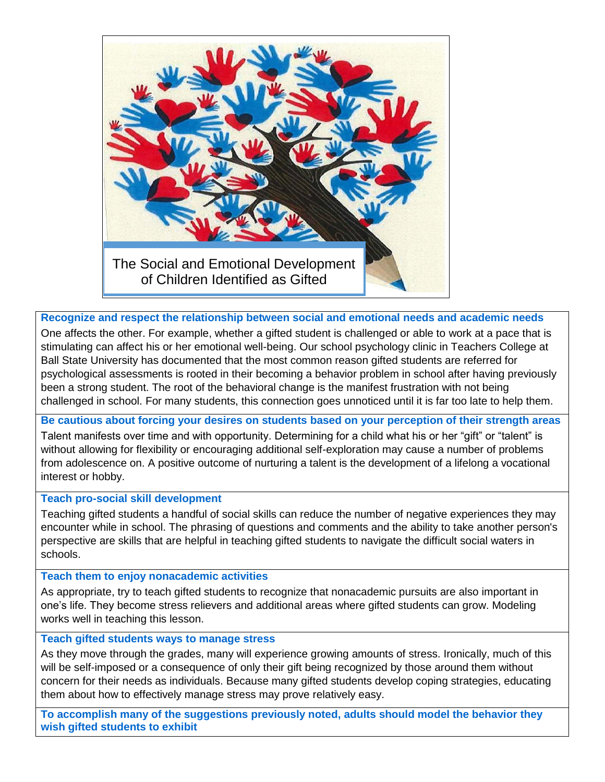

### **Recognize and respect the relationship between social and emotional needs and academic needs**

One affects the other. For example, whether a gifted student is challenged or able to work at a pace that is stimulating can affect his or her emotional well-being. Our school psychology clinic in Teachers College at Ball State University has documented that the most common reason gifted students are referred for psychological assessments is rooted in their becoming a behavior problem in school after having previously been a strong student. The root of the behavioral change is the manifest frustration with not being challenged in school. For many students, this connection goes unnoticed until it is far too late to help them.

**Be cautious about forcing your desires on students based on your perception of their strength areas** Talent manifests over time and with opportunity. Determining for a child what his or her "gift" or "talent" is without allowing for flexibility or encouraging additional self-exploration may cause a number of problems from adolescence on. A positive outcome of nurturing a talent is the development of a lifelong a vocational interest or hobby.

#### **Teach pro-social skill development**

Teaching gifted students a handful of social skills can reduce the number of negative experiences they may encounter while in school. The phrasing of questions and comments and the ability to take another person's perspective are skills that are helpful in teaching gifted students to navigate the difficult social waters in schools.

#### **Teach them to enjoy nonacademic activities**

As appropriate, try to teach gifted students to recognize that nonacademic pursuits are also important in one's life. They become stress relievers and additional areas where gifted students can grow. Modeling works well in teaching this lesson.

# **Teach gifted students ways to manage stress**

As they move through the grades, many will experience growing amounts of stress. Ironically, much of this will be self-imposed or a consequence of only their gift being recognized by those around them without concern for their needs as individuals. Because many gifted students develop coping strategies, educating them about how to effectively manage stress may prove relatively easy.

**To accomplish many of the suggestions previously noted, adults should model the behavior they wish gifted students to exhibit**